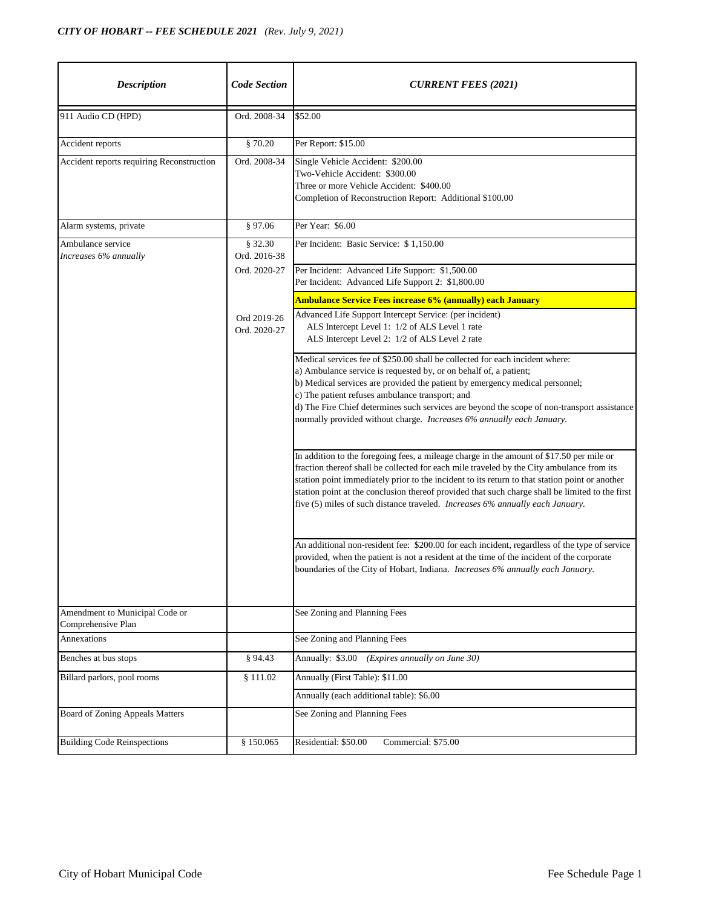| <b>Description</b>                                   | <b>Code Section</b>         | <b>CURRENT FEES (2021)</b>                                                                                                                                                                                                                                                                                                                                                                                                                                                  |
|------------------------------------------------------|-----------------------------|-----------------------------------------------------------------------------------------------------------------------------------------------------------------------------------------------------------------------------------------------------------------------------------------------------------------------------------------------------------------------------------------------------------------------------------------------------------------------------|
| 911 Audio CD (HPD)                                   | Ord. 2008-34                | \$52.00                                                                                                                                                                                                                                                                                                                                                                                                                                                                     |
| Accident reports                                     | \$70.20                     | Per Report: \$15.00                                                                                                                                                                                                                                                                                                                                                                                                                                                         |
| Accident reports requiring Reconstruction            | Ord. 2008-34                | Single Vehicle Accident: \$200.00<br>Two-Vehicle Accident: \$300.00<br>Three or more Vehicle Accident: \$400.00<br>Completion of Reconstruction Report: Additional \$100.00                                                                                                                                                                                                                                                                                                 |
| Alarm systems, private                               | \$97.06                     | Per Year: \$6.00                                                                                                                                                                                                                                                                                                                                                                                                                                                            |
| Ambulance service<br>Increases 6% annually           | \$32.30<br>Ord. 2016-38     | Per Incident: Basic Service: \$1,150.00                                                                                                                                                                                                                                                                                                                                                                                                                                     |
|                                                      | Ord. 2020-27                | Per Incident: Advanced Life Support: \$1,500.00<br>Per Incident: Advanced Life Support 2: \$1,800.00                                                                                                                                                                                                                                                                                                                                                                        |
|                                                      |                             | <b>Ambulance Service Fees increase 6% (annually) each January</b>                                                                                                                                                                                                                                                                                                                                                                                                           |
|                                                      | Ord 2019-26<br>Ord. 2020-27 | Advanced Life Support Intercept Service: (per incident)<br>ALS Intercept Level 1: 1/2 of ALS Level 1 rate<br>ALS Intercept Level 2: 1/2 of ALS Level 2 rate                                                                                                                                                                                                                                                                                                                 |
|                                                      |                             | Medical services fee of \$250.00 shall be collected for each incident where:<br>a) Ambulance service is requested by, or on behalf of, a patient;<br>b) Medical services are provided the patient by emergency medical personnel;<br>c) The patient refuses ambulance transport; and<br>d) The Fire Chief determines such services are beyond the scope of non-transport assistance<br>normally provided without charge. Increases 6% annually each January.                |
|                                                      |                             | In addition to the foregoing fees, a mileage charge in the amount of \$17.50 per mile or<br>fraction thereof shall be collected for each mile traveled by the City ambulance from its<br>station point immediately prior to the incident to its return to that station point or another<br>station point at the conclusion thereof provided that such charge shall be limited to the first<br>five (5) miles of such distance traveled. Increases 6% annually each January. |
|                                                      |                             | An additional non-resident fee: \$200.00 for each incident, regardless of the type of service<br>provided, when the patient is not a resident at the time of the incident of the corporate<br>boundaries of the City of Hobart, Indiana. Increases 6% annually each January.                                                                                                                                                                                                |
| Amendment to Municipal Code or<br>Comprehensive Plan |                             | See Zoning and Planning Fees                                                                                                                                                                                                                                                                                                                                                                                                                                                |
| Annexations                                          |                             | See Zoning and Planning Fees                                                                                                                                                                                                                                                                                                                                                                                                                                                |
| Benches at bus stops                                 | § 94.43                     | Annually: \$3.00 (Expires annually on June 30)                                                                                                                                                                                                                                                                                                                                                                                                                              |
| Billard parlors, pool rooms                          | \$111.02                    | Annually (First Table): \$11.00                                                                                                                                                                                                                                                                                                                                                                                                                                             |
|                                                      |                             | Annually (each additional table): \$6.00                                                                                                                                                                                                                                                                                                                                                                                                                                    |
| <b>Board of Zoning Appeals Matters</b>               |                             | See Zoning and Planning Fees                                                                                                                                                                                                                                                                                                                                                                                                                                                |
| <b>Building Code Reinspections</b>                   | § 150.065                   | Commercial: \$75.00<br>Residential: \$50.00                                                                                                                                                                                                                                                                                                                                                                                                                                 |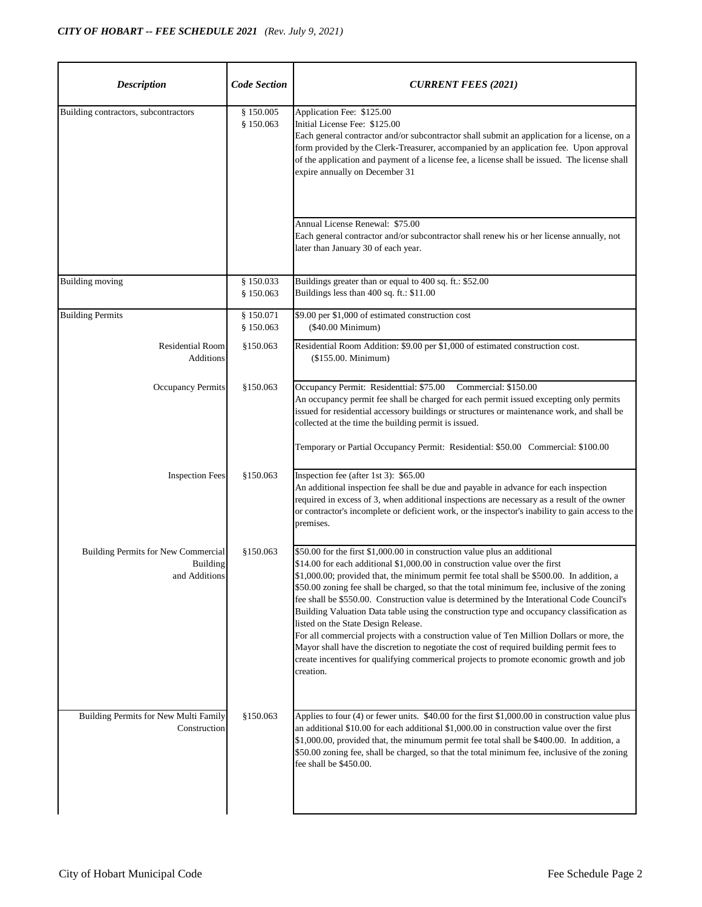| <b>Description</b>                                                      | <b>Code Section</b>    | <b>CURRENT FEES (2021)</b>                                                                                                                                                                                                                                                                                                                                                                                                                                                                                                                                                                                                                                                                                                                                                                                                                                                               |
|-------------------------------------------------------------------------|------------------------|------------------------------------------------------------------------------------------------------------------------------------------------------------------------------------------------------------------------------------------------------------------------------------------------------------------------------------------------------------------------------------------------------------------------------------------------------------------------------------------------------------------------------------------------------------------------------------------------------------------------------------------------------------------------------------------------------------------------------------------------------------------------------------------------------------------------------------------------------------------------------------------|
| Building contractors, subcontractors                                    | § 150.005<br>§ 150.063 | Application Fee: \$125.00<br>Initial License Fee: \$125.00<br>Each general contractor and/or subcontractor shall submit an application for a license, on a<br>form provided by the Clerk-Treasurer, accompanied by an application fee. Upon approval<br>of the application and payment of a license fee, a license shall be issued. The license shall<br>expire annually on December 31                                                                                                                                                                                                                                                                                                                                                                                                                                                                                                  |
|                                                                         |                        | Annual License Renewal: \$75.00<br>Each general contractor and/or subcontractor shall renew his or her license annually, not<br>later than January 30 of each year.                                                                                                                                                                                                                                                                                                                                                                                                                                                                                                                                                                                                                                                                                                                      |
| <b>Building moving</b>                                                  | \$150.033<br>§ 150.063 | Buildings greater than or equal to 400 sq. ft.: \$52.00<br>Buildings less than 400 sq. ft.: \$11.00                                                                                                                                                                                                                                                                                                                                                                                                                                                                                                                                                                                                                                                                                                                                                                                      |
| <b>Building Permits</b>                                                 | \$150.071<br>§ 150.063 | \$9.00 per \$1,000 of estimated construction cost<br>(\$40.00 Minimum)                                                                                                                                                                                                                                                                                                                                                                                                                                                                                                                                                                                                                                                                                                                                                                                                                   |
| <b>Residential Room</b><br><b>Additions</b>                             | §150.063               | Residential Room Addition: \$9.00 per \$1,000 of estimated construction cost.<br>(\$155.00. Minimum)                                                                                                                                                                                                                                                                                                                                                                                                                                                                                                                                                                                                                                                                                                                                                                                     |
| Occupancy Permits                                                       | \$150.063              | Occupancy Permit: Residenttial: \$75.00 Commercial: \$150.00<br>An occupancy permit fee shall be charged for each permit issued excepting only permits<br>issued for residential accessory buildings or structures or maintenance work, and shall be<br>collected at the time the building permit is issued.<br>Temporary or Partial Occupancy Permit: Residential: \$50.00 Commercial: \$100.00                                                                                                                                                                                                                                                                                                                                                                                                                                                                                         |
| <b>Inspection Fees</b>                                                  | \$150.063              | Inspection fee (after 1st 3): \$65.00<br>An additional inspection fee shall be due and payable in advance for each inspection<br>required in excess of 3, when additional inspections are necessary as a result of the owner<br>or contractor's incomplete or deficient work, or the inspector's inability to gain access to the<br>premises.                                                                                                                                                                                                                                                                                                                                                                                                                                                                                                                                            |
| Building Permits for New Commercial<br><b>Building</b><br>and Additions | §150.063               | \$50.00 for the first \$1,000.00 in construction value plus an additional<br>\$14.00 for each additional \$1,000.00 in construction value over the first<br>\$1,000.00; provided that, the minimum permit fee total shall be \$500.00. In addition, a<br>\$50.00 zoning fee shall be charged, so that the total minimum fee, inclusive of the zoning<br>fee shall be \$550.00. Construction value is determined by the Interational Code Council's<br>Building Valuation Data table using the construction type and occupancy classification as<br>listed on the State Design Release.<br>For all commercial projects with a construction value of Ten Million Dollars or more, the<br>Mayor shall have the discretion to negotiate the cost of required building permit fees to<br>create incentives for qualifying commerical projects to promote economic growth and job<br>creation. |
| Building Permits for New Multi Family<br>Construction                   | \$150.063              | Applies to four (4) or fewer units. $$40.00$ for the first \$1,000.00 in construction value plus<br>an additional \$10.00 for each additional \$1,000.00 in construction value over the first<br>\$1,000.00, provided that, the minumum permit fee total shall be \$400.00. In addition, a<br>\$50.00 zoning fee, shall be charged, so that the total minimum fee, inclusive of the zoning<br>fee shall be \$450.00.                                                                                                                                                                                                                                                                                                                                                                                                                                                                     |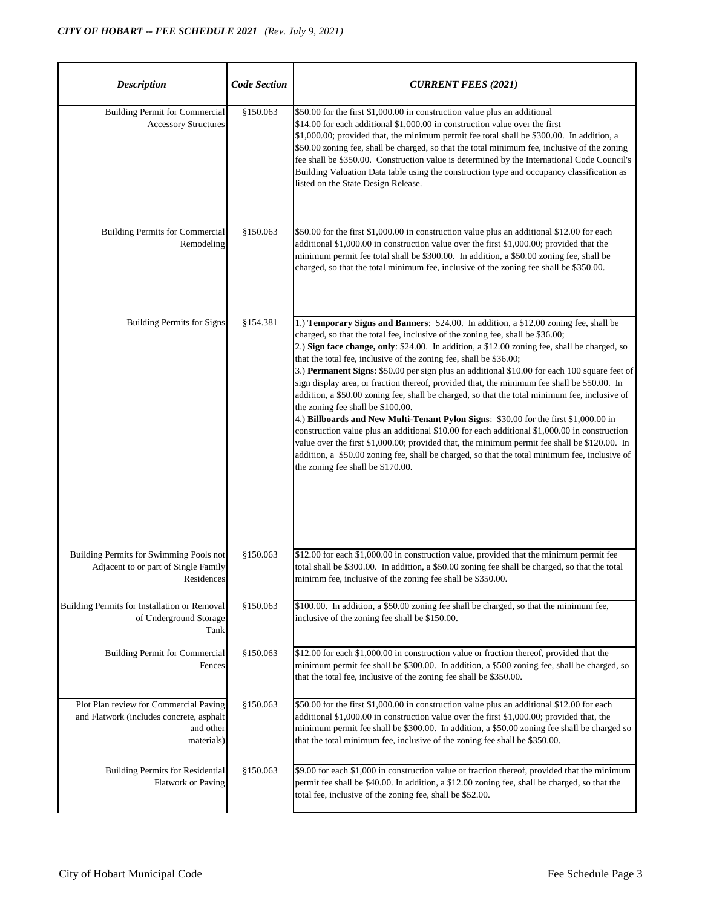| <b>Description</b>                                                                                            | <b>Code Section</b> | <b>CURRENT FEES (2021)</b>                                                                                                                                                                                                                                                                                                                                                                                                                                                                                                                                                                                                                                                                                                                                                                                                                                                                                                                                                                                                                                                                                       |
|---------------------------------------------------------------------------------------------------------------|---------------------|------------------------------------------------------------------------------------------------------------------------------------------------------------------------------------------------------------------------------------------------------------------------------------------------------------------------------------------------------------------------------------------------------------------------------------------------------------------------------------------------------------------------------------------------------------------------------------------------------------------------------------------------------------------------------------------------------------------------------------------------------------------------------------------------------------------------------------------------------------------------------------------------------------------------------------------------------------------------------------------------------------------------------------------------------------------------------------------------------------------|
| <b>Building Permit for Commercial</b><br><b>Accessory Structures</b>                                          | \$150.063           | \$50.00 for the first \$1,000.00 in construction value plus an additional<br>\$14.00 for each additional \$1,000.00 in construction value over the first<br>\$1,000.00; provided that, the minimum permit fee total shall be \$300.00. In addition, a<br>\$50.00 zoning fee, shall be charged, so that the total minimum fee, inclusive of the zoning<br>fee shall be \$350.00. Construction value is determined by the International Code Council's<br>Building Valuation Data table using the construction type and occupancy classification as<br>listed on the State Design Release.                                                                                                                                                                                                                                                                                                                                                                                                                                                                                                                         |
| <b>Building Permits for Commercial</b><br>Remodeling                                                          | §150.063            | \$50.00 for the first \$1,000.00 in construction value plus an additional \$12.00 for each<br>additional \$1,000.00 in construction value over the first \$1,000.00; provided that the<br>minimum permit fee total shall be \$300.00. In addition, a \$50.00 zoning fee, shall be<br>charged, so that the total minimum fee, inclusive of the zoning fee shall be \$350.00.                                                                                                                                                                                                                                                                                                                                                                                                                                                                                                                                                                                                                                                                                                                                      |
| <b>Building Permits for Signs</b>                                                                             | \$154.381           | 1.) Temporary Signs and Banners: \$24.00. In addition, a \$12.00 zoning fee, shall be<br>charged, so that the total fee, inclusive of the zoning fee, shall be \$36.00;<br>2.) Sign face change, only: \$24.00. In addition, a \$12.00 zoning fee, shall be charged, so<br>that the total fee, inclusive of the zoning fee, shall be \$36.00;<br>3.) Permanent Signs: \$50.00 per sign plus an additional \$10.00 for each 100 square feet of<br>sign display area, or fraction thereof, provided that, the minimum fee shall be \$50.00. In<br>addition, a \$50.00 zoning fee, shall be charged, so that the total minimum fee, inclusive of<br>the zoning fee shall be \$100.00.<br>4.) Billboards and New Multi-Tenant Pylon Signs: \$30.00 for the first \$1,000.00 in<br>construction value plus an additional \$10.00 for each additional \$1,000.00 in construction<br>value over the first \$1,000.00; provided that, the minimum permit fee shall be \$120.00. In<br>addition, a \$50.00 zoning fee, shall be charged, so that the total minimum fee, inclusive of<br>the zoning fee shall be \$170.00. |
| Building Permits for Swimming Pools not<br>Adjacent to or part of Single Family<br>Residences                 | \$150.063           | \$12.00 for each \$1,000.00 in construction value, provided that the minimum permit fee<br>total shall be \$300.00. In addition, a \$50.00 zoning fee shall be charged, so that the total<br>minimm fee, inclusive of the zoning fee shall be \$350.00.                                                                                                                                                                                                                                                                                                                                                                                                                                                                                                                                                                                                                                                                                                                                                                                                                                                          |
| Building Permits for Installation or Removal<br>of Underground Storage<br>Tank                                | §150.063            | \$100.00. In addition, a \$50.00 zoning fee shall be charged, so that the minimum fee,<br>inclusive of the zoning fee shall be \$150.00.                                                                                                                                                                                                                                                                                                                                                                                                                                                                                                                                                                                                                                                                                                                                                                                                                                                                                                                                                                         |
| <b>Building Permit for Commercial</b><br>Fences                                                               | \$150.063           | \$12.00 for each \$1,000.00 in construction value or fraction thereof, provided that the<br>minimum permit fee shall be \$300.00. In addition, a \$500 zoning fee, shall be charged, so<br>that the total fee, inclusive of the zoning fee shall be \$350.00.                                                                                                                                                                                                                                                                                                                                                                                                                                                                                                                                                                                                                                                                                                                                                                                                                                                    |
| Plot Plan review for Commercial Paving<br>and Flatwork (includes concrete, asphalt<br>and other<br>materials) | §150.063            | \$50.00 for the first \$1,000.00 in construction value plus an additional \$12.00 for each<br>additional \$1,000.00 in construction value over the first \$1,000.00; provided that, the<br>minimum permit fee shall be \$300.00. In addition, a \$50.00 zoning fee shall be charged so<br>that the total minimum fee, inclusive of the zoning fee shall be \$350.00.                                                                                                                                                                                                                                                                                                                                                                                                                                                                                                                                                                                                                                                                                                                                             |
| <b>Building Permits for Residential</b><br><b>Flatwork or Paving</b>                                          | \$150.063           | \$9.00 for each \$1,000 in construction value or fraction thereof, provided that the minimum<br>permit fee shall be \$40.00. In addition, a \$12.00 zoning fee, shall be charged, so that the<br>total fee, inclusive of the zoning fee, shall be \$52.00.                                                                                                                                                                                                                                                                                                                                                                                                                                                                                                                                                                                                                                                                                                                                                                                                                                                       |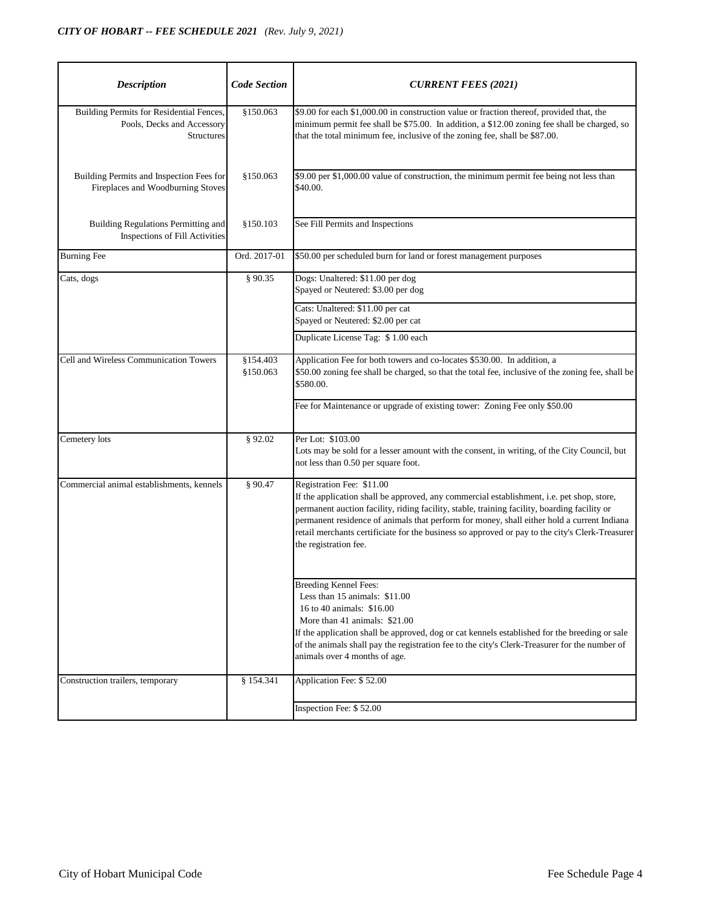| <b>Description</b>                                                                          | <b>Code Section</b>    | <b>CURRENT FEES (2021)</b>                                                                                                                                                                                                                                                                                                                                                                                                                       |
|---------------------------------------------------------------------------------------------|------------------------|--------------------------------------------------------------------------------------------------------------------------------------------------------------------------------------------------------------------------------------------------------------------------------------------------------------------------------------------------------------------------------------------------------------------------------------------------|
| Building Permits for Residential Fences,<br>Pools, Decks and Accessory<br><b>Structures</b> | \$150.063              | \$9.00 for each \$1,000.00 in construction value or fraction thereof, provided that, the<br>minimum permit fee shall be \$75.00. In addition, a \$12.00 zoning fee shall be charged, so<br>that the total minimum fee, inclusive of the zoning fee, shall be \$87.00.                                                                                                                                                                            |
| Building Permits and Inspection Fees for<br>Fireplaces and Woodburning Stoves               | §150.063               | \$9.00 per \$1,000.00 value of construction, the minimum permit fee being not less than<br>\$40.00.                                                                                                                                                                                                                                                                                                                                              |
| Building Regulations Permitting and<br>Inspections of Fill Activities                       | \$150.103              | See Fill Permits and Inspections                                                                                                                                                                                                                                                                                                                                                                                                                 |
| <b>Burning Fee</b>                                                                          | Ord. 2017-01           | \$50.00 per scheduled burn for land or forest management purposes                                                                                                                                                                                                                                                                                                                                                                                |
| Cats, dogs                                                                                  | § 90.35                | Dogs: Unaltered: \$11.00 per dog<br>Spayed or Neutered: \$3.00 per dog                                                                                                                                                                                                                                                                                                                                                                           |
|                                                                                             |                        | Cats: Unaltered: \$11.00 per cat<br>Spayed or Neutered: \$2.00 per cat                                                                                                                                                                                                                                                                                                                                                                           |
|                                                                                             |                        | Duplicate License Tag: \$1.00 each                                                                                                                                                                                                                                                                                                                                                                                                               |
| Cell and Wireless Communication Towers                                                      | \$154.403<br>\$150.063 | Application Fee for both towers and co-locates \$530.00. In addition, a<br>\$50.00 zoning fee shall be charged, so that the total fee, inclusive of the zoning fee, shall be<br>\$580.00.                                                                                                                                                                                                                                                        |
|                                                                                             |                        | Fee for Maintenance or upgrade of existing tower: Zoning Fee only \$50.00                                                                                                                                                                                                                                                                                                                                                                        |
| Cemetery lots                                                                               | § 92.02                | Per Lot: \$103.00<br>Lots may be sold for a lesser amount with the consent, in writing, of the City Council, but<br>not less than 0.50 per square foot.                                                                                                                                                                                                                                                                                          |
| Commercial animal establishments, kennels                                                   | \$90.47                | Registration Fee: \$11.00<br>If the application shall be approved, any commercial establishment, i.e. pet shop, store,<br>permanent auction facility, riding facility, stable, training facility, boarding facility or<br>permanent residence of animals that perform for money, shall either hold a current Indiana<br>retail merchants certificiate for the business so approved or pay to the city's Clerk-Treasurer<br>the registration fee. |
|                                                                                             |                        | <b>Breeding Kennel Fees:</b><br>Less than 15 animals: \$11.00<br>16 to 40 animals: \$16.00<br>More than 41 animals: \$21.00<br>If the application shall be approved, dog or cat kennels established for the breeding or sale<br>of the animals shall pay the registration fee to the city's Clerk-Treasurer for the number of<br>animals over 4 months of age.                                                                                   |
| Construction trailers, temporary                                                            | § 154.341              | Application Fee: \$52.00                                                                                                                                                                                                                                                                                                                                                                                                                         |
|                                                                                             |                        | Inspection Fee: \$52.00                                                                                                                                                                                                                                                                                                                                                                                                                          |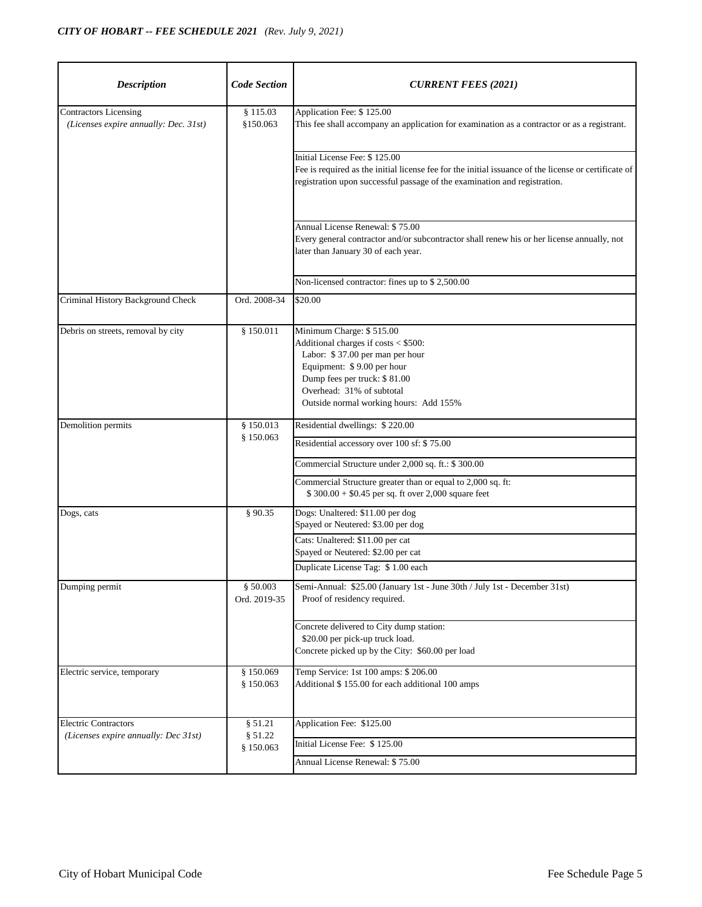| <b>Description</b>                                                    | <b>Code Section</b>      | <b>CURRENT FEES (2021)</b>                                                                                                                                                                                                               |
|-----------------------------------------------------------------------|--------------------------|------------------------------------------------------------------------------------------------------------------------------------------------------------------------------------------------------------------------------------------|
| <b>Contractors Licensing</b><br>(Licenses expire annually: Dec. 31st) | § 115.03<br>\$150.063    | Application Fee: \$125.00<br>This fee shall accompany an application for examination as a contractor or as a registrant.                                                                                                                 |
|                                                                       |                          | Initial License Fee: \$125.00<br>Fee is required as the initial license fee for the initial issuance of the license or certificate of<br>registration upon successful passage of the examination and registration.                       |
|                                                                       |                          | Annual License Renewal: \$75.00<br>Every general contractor and/or subcontractor shall renew his or her license annually, not<br>later than January 30 of each year.                                                                     |
|                                                                       |                          | Non-licensed contractor: fines up to \$2,500.00                                                                                                                                                                                          |
| Criminal History Background Check                                     | Ord. 2008-34             | \$20.00                                                                                                                                                                                                                                  |
| Debris on streets, removal by city                                    | § 150.011                | Minimum Charge: \$515.00<br>Additional charges if costs < \$500:<br>Labor: \$37.00 per man per hour<br>Equipment: \$9.00 per hour<br>Dump fees per truck: \$81.00<br>Overhead: 31% of subtotal<br>Outside normal working hours: Add 155% |
| Demolition permits                                                    | § 150.013                | Residential dwellings: \$220.00                                                                                                                                                                                                          |
|                                                                       | § 150.063                | Residential accessory over 100 sf: \$75.00                                                                                                                                                                                               |
|                                                                       |                          | Commercial Structure under 2,000 sq. ft.: \$ 300.00                                                                                                                                                                                      |
|                                                                       |                          | Commercial Structure greater than or equal to 2,000 sq. ft:<br>$$300.00 + $0.45$ per sq. ft over 2,000 square feet                                                                                                                       |
| Dogs, cats                                                            | § 90.35                  | Dogs: Unaltered: \$11.00 per dog<br>Spayed or Neutered: \$3.00 per dog                                                                                                                                                                   |
|                                                                       |                          | Cats: Unaltered: \$11.00 per cat<br>Spayed or Neutered: \$2.00 per cat                                                                                                                                                                   |
|                                                                       |                          | Duplicate License Tag: \$1.00 each                                                                                                                                                                                                       |
| Dumping permit                                                        | § 50.003<br>Ord. 2019-35 | Semi-Annual: \$25.00 (January 1st - June 30th / July 1st - December 31st)<br>Proof of residency required.                                                                                                                                |
|                                                                       |                          | Concrete delivered to City dump station:<br>\$20.00 per pick-up truck load.<br>Concrete picked up by the City: \$60.00 per load                                                                                                          |
| Electric service, temporary                                           | \$150.069<br>§ 150.063   | Temp Service: 1st 100 amps: \$ 206.00<br>Additional \$155.00 for each additional 100 amps                                                                                                                                                |
| <b>Electric Contractors</b>                                           | § 51.21                  | Application Fee: \$125.00                                                                                                                                                                                                                |
| (Licenses expire annually: Dec 31st)                                  | \$51.22<br>\$150.063     | Initial License Fee: \$125.00                                                                                                                                                                                                            |
|                                                                       |                          | Annual License Renewal: \$75.00                                                                                                                                                                                                          |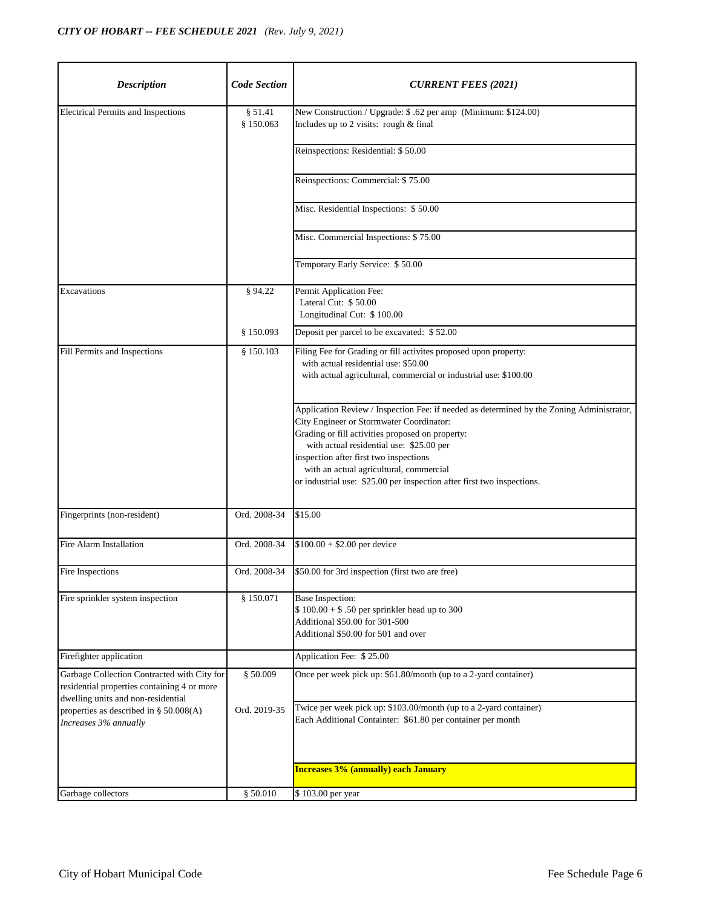| <b>Description</b>                                                                                                               | <b>Code Section</b>  | <b>CURRENT FEES (2021)</b>                                                                                                                                                                                                                                                                                                                                                                           |
|----------------------------------------------------------------------------------------------------------------------------------|----------------------|------------------------------------------------------------------------------------------------------------------------------------------------------------------------------------------------------------------------------------------------------------------------------------------------------------------------------------------------------------------------------------------------------|
| <b>Electrical Permits and Inspections</b>                                                                                        | § 51.41<br>§ 150.063 | New Construction / Upgrade: \$.62 per amp (Minimum: \$124.00)<br>Includes up to 2 visits: rough & final                                                                                                                                                                                                                                                                                              |
|                                                                                                                                  |                      | Reinspections: Residential: \$50.00                                                                                                                                                                                                                                                                                                                                                                  |
|                                                                                                                                  |                      | Reinspections: Commercial: \$75.00                                                                                                                                                                                                                                                                                                                                                                   |
|                                                                                                                                  |                      | Misc. Residential Inspections: \$50.00                                                                                                                                                                                                                                                                                                                                                               |
|                                                                                                                                  |                      | Misc. Commercial Inspections: \$75.00                                                                                                                                                                                                                                                                                                                                                                |
|                                                                                                                                  |                      | Temporary Early Service: \$50.00                                                                                                                                                                                                                                                                                                                                                                     |
| Excavations                                                                                                                      | § 94.22              | Permit Application Fee:<br>Lateral Cut: \$50.00<br>Longitudinal Cut: \$100.00                                                                                                                                                                                                                                                                                                                        |
|                                                                                                                                  | \$150.093            | Deposit per parcel to be excavated: \$52.00                                                                                                                                                                                                                                                                                                                                                          |
| Fill Permits and Inspections                                                                                                     | § 150.103            | Filing Fee for Grading or fill activites proposed upon property:<br>with actual residential use: \$50.00<br>with actual agricultural, commercial or industrial use: \$100.00                                                                                                                                                                                                                         |
|                                                                                                                                  |                      | Application Review / Inspection Fee: if needed as determined by the Zoning Administrator,<br>City Engineer or Stormwater Coordinator:<br>Grading or fill activities proposed on property:<br>with actual residential use: \$25.00 per<br>inspection after first two inspections<br>with an actual agricultural, commercial<br>or industrial use: \$25.00 per inspection after first two inspections. |
| Fingerprints (non-resident)                                                                                                      | Ord. 2008-34         | \$15.00                                                                                                                                                                                                                                                                                                                                                                                              |
| Fire Alarm Installation                                                                                                          | Ord. 2008-34         | $$100.00 + $2.00$ per device                                                                                                                                                                                                                                                                                                                                                                         |
| Fire Inspections                                                                                                                 |                      | Ord. 2008-34 \$50.00 for 3rd inspection (first two are free)                                                                                                                                                                                                                                                                                                                                         |
| Fire sprinkler system inspection                                                                                                 | § 150.071            | Base Inspection:<br>$$100.00 + $.50$ per sprinkler head up to 300<br>Additional \$50.00 for 301-500<br>Additional \$50.00 for 501 and over                                                                                                                                                                                                                                                           |
| Firefighter application                                                                                                          |                      | Application Fee: \$25.00                                                                                                                                                                                                                                                                                                                                                                             |
| Garbage Collection Contracted with City for<br>residential properties containing 4 or more<br>dwelling units and non-residential | \$50.009             | Once per week pick up: \$61.80/month (up to a 2-yard container)                                                                                                                                                                                                                                                                                                                                      |
| properties as described in § 50.008(A)<br>Increases 3% annually                                                                  | Ord. 2019-35         | Twice per week pick up: \$103.00/month (up to a 2-yard container)<br>Each Additional Containter: \$61.80 per container per month                                                                                                                                                                                                                                                                     |
|                                                                                                                                  |                      | <b>Increases 3% (annually) each January</b>                                                                                                                                                                                                                                                                                                                                                          |
| Garbage collectors                                                                                                               | § 50.010             | \$103.00 per year                                                                                                                                                                                                                                                                                                                                                                                    |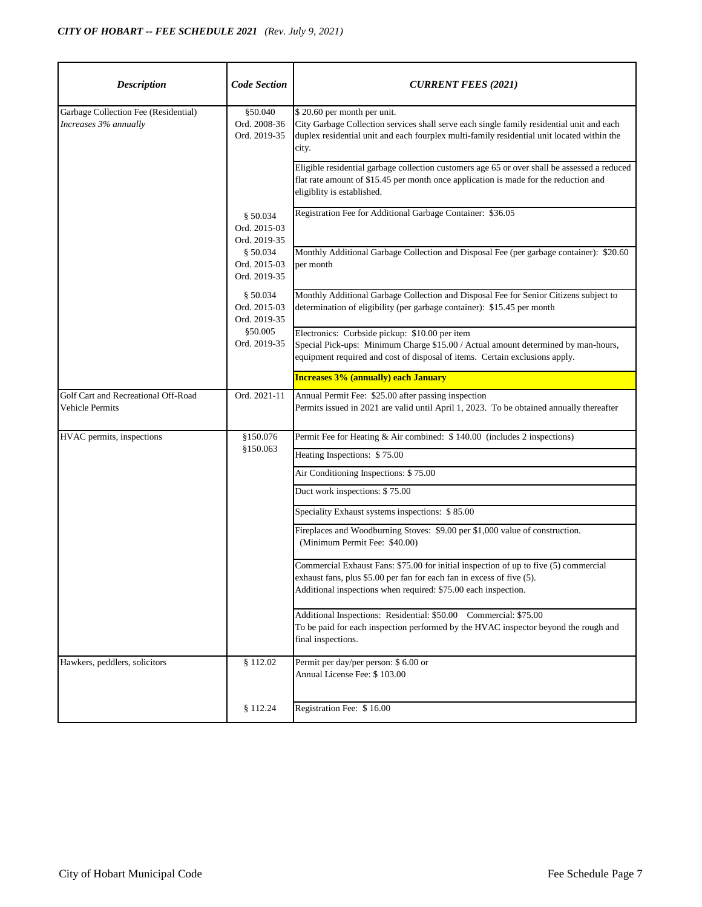| <b>Description</b>                                            | <b>Code Section</b>                      | <b>CURRENT FEES (2021)</b>                                                                                                                                                                                                      |
|---------------------------------------------------------------|------------------------------------------|---------------------------------------------------------------------------------------------------------------------------------------------------------------------------------------------------------------------------------|
| Garbage Collection Fee (Residential)<br>Increases 3% annually | §50.040<br>Ord. 2008-36<br>Ord. 2019-35  | \$20.60 per month per unit.<br>City Garbage Collection services shall serve each single family residential unit and each<br>duplex residential unit and each fourplex multi-family residential unit located within the<br>city. |
|                                                               |                                          | Eligible residential garbage collection customers age 65 or over shall be assessed a reduced<br>flat rate amount of \$15.45 per month once application is made for the reduction and<br>eligiblity is established.              |
|                                                               | \$50.034<br>Ord. 2015-03<br>Ord. 2019-35 | Registration Fee for Additional Garbage Container: \$36.05                                                                                                                                                                      |
|                                                               | \$50.034<br>Ord. 2015-03<br>Ord. 2019-35 | Monthly Additional Garbage Collection and Disposal Fee (per garbage container): \$20.60<br>per month                                                                                                                            |
|                                                               | \$50.034<br>Ord. 2015-03<br>Ord. 2019-35 | Monthly Additional Garbage Collection and Disposal Fee for Senior Citizens subject to<br>determination of eligibility (per garbage container): \$15.45 per month                                                                |
|                                                               | \$50.005<br>Ord. 2019-35                 | Electronics: Curbside pickup: \$10.00 per item<br>Special Pick-ups: Minimum Charge \$15.00 / Actual amount determined by man-hours,<br>equipment required and cost of disposal of items. Certain exclusions apply.              |
|                                                               |                                          | <b>Increases 3% (annually) each January</b>                                                                                                                                                                                     |
| Golf Cart and Recreational Off-Road<br>Vehicle Permits        | Ord. 2021-11                             | Annual Permit Fee: \$25.00 after passing inspection<br>Permits issued in 2021 are valid until April 1, 2023. To be obtained annually thereafter                                                                                 |
| HVAC permits, inspections                                     | \$150.076<br>\$150.063                   | Permit Fee for Heating & Air combined: \$140.00 (includes 2 inspections)                                                                                                                                                        |
|                                                               |                                          | Heating Inspections: \$75.00                                                                                                                                                                                                    |
|                                                               |                                          | Air Conditioning Inspections: \$75.00                                                                                                                                                                                           |
|                                                               |                                          | Duct work inspections: \$75.00                                                                                                                                                                                                  |
|                                                               |                                          | Speciality Exhaust systems inspections: \$85.00                                                                                                                                                                                 |
|                                                               |                                          | Fireplaces and Woodburning Stoves: \$9.00 per \$1,000 value of construction.<br>(Minimum Permit Fee: \$40.00)                                                                                                                   |
|                                                               |                                          | Commercial Exhaust Fans: \$75.00 for initial inspection of up to five (5) commercial<br>exhaust fans, plus \$5.00 per fan for each fan in excess of five (5).<br>Additional inspections when required: \$75.00 each inspection. |
|                                                               |                                          | Additional Inspections: Residential: \$50.00 Commercial: \$75.00<br>To be paid for each inspection performed by the HVAC inspector beyond the rough and<br>final inspections.                                                   |
| Hawkers, peddlers, solicitors                                 | \$112.02                                 | Permit per day/per person: \$ 6.00 or<br>Annual License Fee: \$103.00                                                                                                                                                           |
|                                                               | \$112.24                                 | Registration Fee: \$16.00                                                                                                                                                                                                       |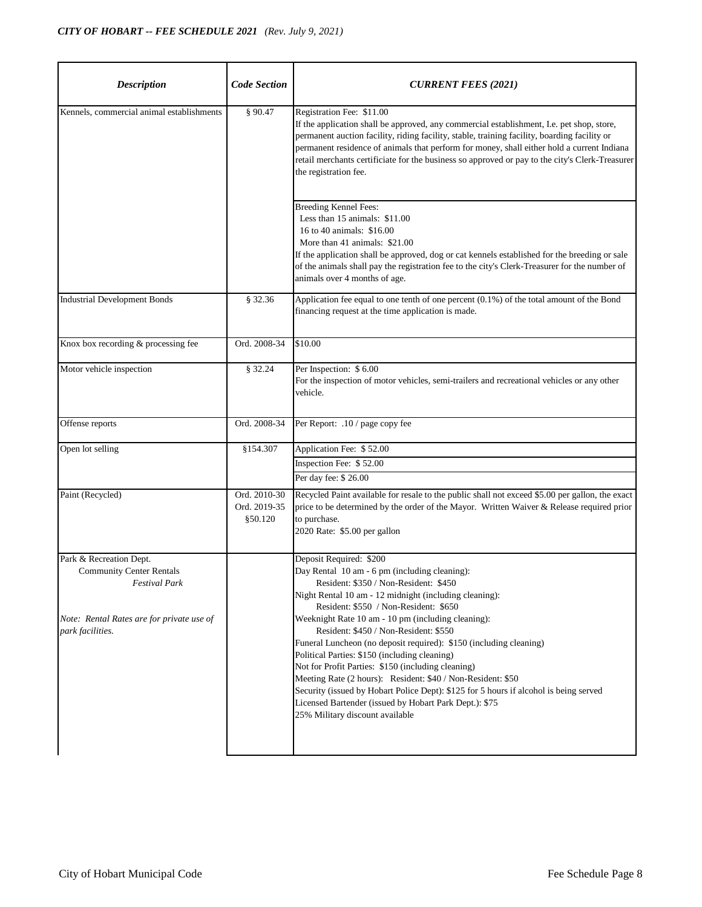| <b>Description</b>                                                                                                                                  | <b>Code Section</b>                      | <b>CURRENT FEES (2021)</b>                                                                                                                                                                                                                                                                                                                                                                                                                                                                                                                                                                                                                                                                                                                            |
|-----------------------------------------------------------------------------------------------------------------------------------------------------|------------------------------------------|-------------------------------------------------------------------------------------------------------------------------------------------------------------------------------------------------------------------------------------------------------------------------------------------------------------------------------------------------------------------------------------------------------------------------------------------------------------------------------------------------------------------------------------------------------------------------------------------------------------------------------------------------------------------------------------------------------------------------------------------------------|
| Kennels, commercial animal establishments                                                                                                           | § 90.47                                  | Registration Fee: \$11.00<br>If the application shall be approved, any commercial establishment, I.e. pet shop, store,<br>permanent auction facility, riding facility, stable, training facility, boarding facility or<br>permanent residence of animals that perform for money, shall either hold a current Indiana<br>retail merchants certificiate for the business so approved or pay to the city's Clerk-Treasurer<br>the registration fee.                                                                                                                                                                                                                                                                                                      |
|                                                                                                                                                     |                                          | <b>Breeding Kennel Fees:</b><br>Less than 15 animals: \$11.00<br>16 to 40 animals: \$16.00<br>More than 41 animals: \$21.00<br>If the application shall be approved, dog or cat kennels established for the breeding or sale<br>of the animals shall pay the registration fee to the city's Clerk-Treasurer for the number of<br>animals over 4 months of age.                                                                                                                                                                                                                                                                                                                                                                                        |
| <b>Industrial Development Bonds</b>                                                                                                                 | § 32.36                                  | Application fee equal to one tenth of one percent (0.1%) of the total amount of the Bond<br>financing request at the time application is made.                                                                                                                                                                                                                                                                                                                                                                                                                                                                                                                                                                                                        |
| Knox box recording & processing fee                                                                                                                 | Ord. 2008-34                             | \$10.00                                                                                                                                                                                                                                                                                                                                                                                                                                                                                                                                                                                                                                                                                                                                               |
| Motor vehicle inspection                                                                                                                            | § 32.24                                  | Per Inspection: \$6.00<br>For the inspection of motor vehicles, semi-trailers and recreational vehicles or any other<br>vehicle.                                                                                                                                                                                                                                                                                                                                                                                                                                                                                                                                                                                                                      |
| Offense reports                                                                                                                                     | Ord. 2008-34                             | Per Report: .10 / page copy fee                                                                                                                                                                                                                                                                                                                                                                                                                                                                                                                                                                                                                                                                                                                       |
| Open lot selling                                                                                                                                    | \$154.307                                | Application Fee: \$52.00<br>Inspection Fee: \$52.00<br>Per day fee: \$26.00                                                                                                                                                                                                                                                                                                                                                                                                                                                                                                                                                                                                                                                                           |
| Paint (Recycled)                                                                                                                                    | Ord. 2010-30<br>Ord. 2019-35<br>\$50.120 | Recycled Paint available for resale to the public shall not exceed \$5.00 per gallon, the exact<br>price to be determined by the order of the Mayor. Written Waiver & Release required prior<br>to purchase.<br>2020 Rate: \$5.00 per gallon                                                                                                                                                                                                                                                                                                                                                                                                                                                                                                          |
| Park & Recreation Dept.<br><b>Community Center Rentals</b><br><b>Festival Park</b><br>Note: Rental Rates are for private use of<br>park facilities. |                                          | Deposit Required: \$200<br>Day Rental 10 am - 6 pm (including cleaning):<br>Resident: \$350 / Non-Resident: \$450<br>Night Rental 10 am - 12 midnight (including cleaning):<br>Resident: \$550 / Non-Resident: \$650<br>Weeknight Rate 10 am - 10 pm (including cleaning):<br>Resident: \$450 / Non-Resident: \$550<br>Funeral Luncheon (no deposit required): \$150 (including cleaning)<br>Political Parties: \$150 (including cleaning)<br>Not for Profit Parties: \$150 (including cleaning)<br>Meeting Rate (2 hours): Resident: \$40 / Non-Resident: \$50<br>Security (issued by Hobart Police Dept): \$125 for 5 hours if alcohol is being served<br>Licensed Bartender (issued by Hobart Park Dept.): \$75<br>25% Military discount available |
|                                                                                                                                                     |                                          |                                                                                                                                                                                                                                                                                                                                                                                                                                                                                                                                                                                                                                                                                                                                                       |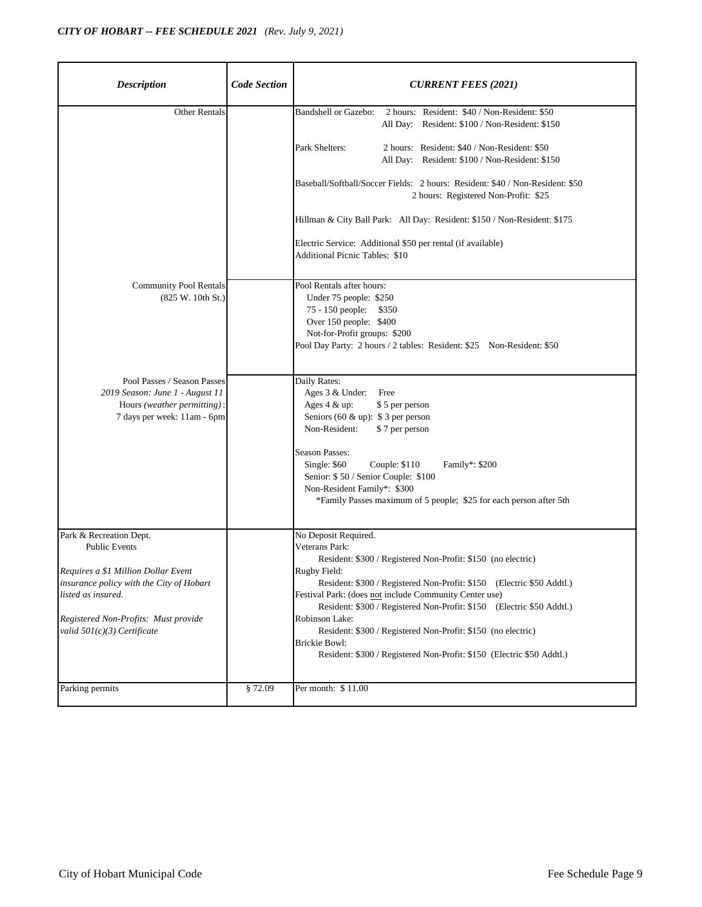| <b>Description</b>                                                                                                           | <b>Code Section</b> | <b>CURRENT FEES (2021)</b>                                                                                                                                                                                                  |
|------------------------------------------------------------------------------------------------------------------------------|---------------------|-----------------------------------------------------------------------------------------------------------------------------------------------------------------------------------------------------------------------------|
| <b>Other Rentals</b>                                                                                                         |                     | 2 hours: Resident: \$40 / Non-Resident: \$50<br>Bandshell or Gazebo:<br>All Day: Resident: \$100 / Non-Resident: \$150                                                                                                      |
|                                                                                                                              |                     | Park Shelters:<br>2 hours: Resident: \$40 / Non-Resident: \$50<br>All Day: Resident: \$100 / Non-Resident: \$150                                                                                                            |
|                                                                                                                              |                     | Baseball/Softball/Soccer Fields: 2 hours: Resident: \$40 / Non-Resident: \$50<br>2 hours: Registered Non-Profit: \$25                                                                                                       |
|                                                                                                                              |                     | Hillman & City Ball Park: All Day: Resident: \$150 / Non-Resident: \$175                                                                                                                                                    |
|                                                                                                                              |                     | Electric Service: Additional \$50 per rental (if available)<br><b>Additional Picnic Tables: \$10</b>                                                                                                                        |
| <b>Community Pool Rentals</b><br>(825 W. 10th St.)                                                                           |                     | Pool Rentals after hours:<br>Under 75 people: \$250<br>75 - 150 people: \$350<br>Over 150 people: \$400<br>Not-for-Profit groups: \$200<br>Pool Day Party: 2 hours / 2 tables: Resident: \$25 Non-Resident: \$50            |
| Pool Passes / Season Passes<br>2019 Season: June 1 - August 11<br>Hours (weather permitting):<br>7 days per week: 11am - 6pm |                     | Daily Rates:<br>Ages 3 & Under: Free<br>Ages 4 & up:<br>\$5 per person<br>Seniors (60 & up): $$3$ per person<br>Non-Resident:<br>\$7 per person                                                                             |
|                                                                                                                              |                     | <b>Season Passes:</b><br>Single: \$60<br>Couple: \$110<br>Family*: \$200<br>Senior: \$50 / Senior Couple: \$100<br>Non-Resident Family*: \$300<br>*Family Passes maximum of 5 people; \$25 for each person after 5th        |
| Park & Recreation Dept.<br><b>Public Events</b>                                                                              |                     | No Deposit Required.<br>Veterans Park:<br>Resident: \$300 / Registered Non-Profit: \$150 (no electric)                                                                                                                      |
| Requires a \$1 Million Dollar Event<br>insurance policy with the City of Hobart<br>listed as insured.                        |                     | Rugby Field:<br>Resident: \$300 / Registered Non-Profit: \$150 (Electric \$50 Addtl.)<br>Festival Park: (does not include Community Center use)<br>Resident: \$300 / Registered Non-Profit: \$150<br>(Electric \$50 Addtl.) |
| Registered Non-Profits: Must provide<br>valid $501(c)(3)$ Certificate                                                        |                     | Robinson Lake:<br>Resident: \$300 / Registered Non-Profit: \$150 (no electric)<br><b>Brickie Bowl:</b><br>Resident: \$300 / Registered Non-Profit: \$150 (Electric \$50 Addtl.)                                             |
| Parking permits                                                                                                              | §72.09              | Per month: \$11.00                                                                                                                                                                                                          |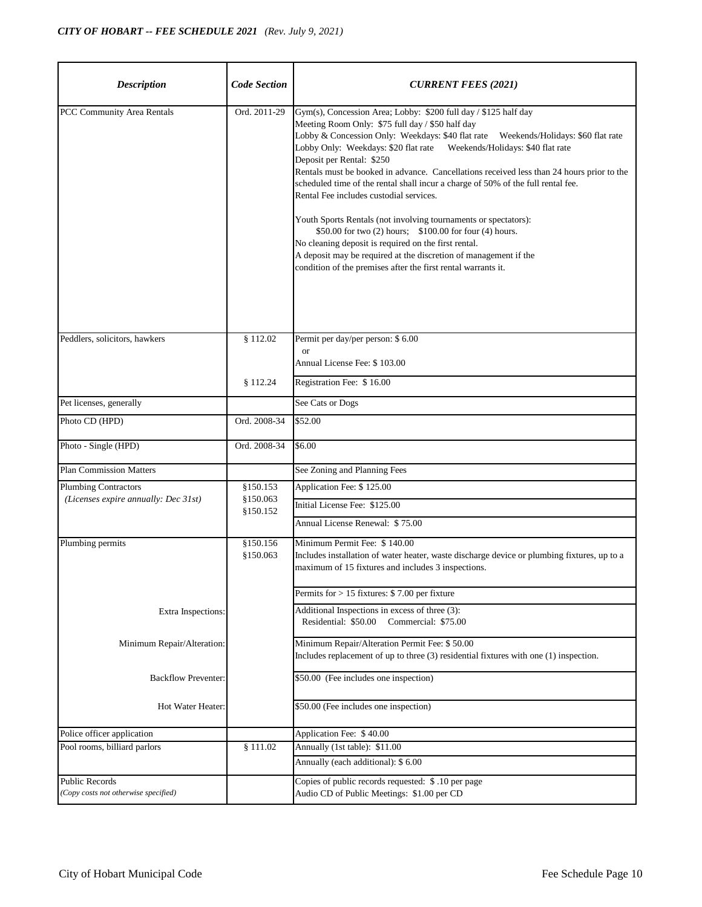| <b>Description</b>                                            | <b>Code Section</b>    | <b>CURRENT FEES (2021)</b>                                                                                                                                                                                                                                                                                                                                                                                                                                                                                                                                                                                                                                                                              |
|---------------------------------------------------------------|------------------------|---------------------------------------------------------------------------------------------------------------------------------------------------------------------------------------------------------------------------------------------------------------------------------------------------------------------------------------------------------------------------------------------------------------------------------------------------------------------------------------------------------------------------------------------------------------------------------------------------------------------------------------------------------------------------------------------------------|
| PCC Community Area Rentals                                    | Ord. 2011-29           | Gym(s), Concession Area; Lobby: \$200 full day / \$125 half day<br>Meeting Room Only: \$75 full day / \$50 half day<br>Deposit per Rental: \$250<br>Rentals must be booked in advance. Cancellations received less than 24 hours prior to the<br>scheduled time of the rental shall incur a charge of 50% of the full rental fee.<br>Rental Fee includes custodial services.<br>Youth Sports Rentals (not involving tournaments or spectators):<br>\$50.00 for two (2) hours; \$100.00 for four (4) hours.<br>No cleaning deposit is required on the first rental.<br>A deposit may be required at the discretion of management if the<br>condition of the premises after the first rental warrants it. |
| Peddlers, solicitors, hawkers                                 | \$112.02               | Permit per day/per person: \$6.00<br><b>or</b>                                                                                                                                                                                                                                                                                                                                                                                                                                                                                                                                                                                                                                                          |
|                                                               |                        | Annual License Fee: \$103.00                                                                                                                                                                                                                                                                                                                                                                                                                                                                                                                                                                                                                                                                            |
|                                                               | \$112.24               | Registration Fee: \$16.00                                                                                                                                                                                                                                                                                                                                                                                                                                                                                                                                                                                                                                                                               |
| Pet licenses, generally                                       |                        | See Cats or Dogs                                                                                                                                                                                                                                                                                                                                                                                                                                                                                                                                                                                                                                                                                        |
| Photo CD (HPD)                                                | Ord. 2008-34           | \$52.00                                                                                                                                                                                                                                                                                                                                                                                                                                                                                                                                                                                                                                                                                                 |
| Photo - Single (HPD)                                          | Ord. 2008-34           | \$6.00                                                                                                                                                                                                                                                                                                                                                                                                                                                                                                                                                                                                                                                                                                  |
| <b>Plan Commission Matters</b>                                |                        | See Zoning and Planning Fees                                                                                                                                                                                                                                                                                                                                                                                                                                                                                                                                                                                                                                                                            |
| <b>Plumbing Contractors</b>                                   | \$150.153              | Application Fee: \$125.00                                                                                                                                                                                                                                                                                                                                                                                                                                                                                                                                                                                                                                                                               |
| (Licenses expire annually: Dec 31st)                          | \$150.063<br>\$150.152 | Initial License Fee: \$125.00                                                                                                                                                                                                                                                                                                                                                                                                                                                                                                                                                                                                                                                                           |
|                                                               |                        | Annual License Renewal: \$75.00                                                                                                                                                                                                                                                                                                                                                                                                                                                                                                                                                                                                                                                                         |
| Plumbing permits                                              | \$150.156              | Minimum Permit Fee: \$140.00                                                                                                                                                                                                                                                                                                                                                                                                                                                                                                                                                                                                                                                                            |
|                                                               | §150.063               | Includes installation of water heater, waste discharge device or plumbing fixtures, up to a<br>maximum of 15 fixtures and includes 3 inspections.                                                                                                                                                                                                                                                                                                                                                                                                                                                                                                                                                       |
|                                                               |                        | Permits for > 15 fixtures: \$7.00 per fixture                                                                                                                                                                                                                                                                                                                                                                                                                                                                                                                                                                                                                                                           |
| Extra Inspections:                                            |                        | Additional Inspections in excess of three $(3)$ :<br>Residential: \$50.00<br>Commercial: \$75.00                                                                                                                                                                                                                                                                                                                                                                                                                                                                                                                                                                                                        |
| Minimum Repair/Alteration:                                    |                        | Minimum Repair/Alteration Permit Fee: \$50.00<br>Includes replacement of up to three (3) residential fixtures with one (1) inspection.                                                                                                                                                                                                                                                                                                                                                                                                                                                                                                                                                                  |
| <b>Backflow Preventer:</b>                                    |                        | \$50.00 (Fee includes one inspection)                                                                                                                                                                                                                                                                                                                                                                                                                                                                                                                                                                                                                                                                   |
| Hot Water Heater:                                             |                        | \$50.00 (Fee includes one inspection)                                                                                                                                                                                                                                                                                                                                                                                                                                                                                                                                                                                                                                                                   |
| Police officer application                                    |                        | Application Fee: \$40.00                                                                                                                                                                                                                                                                                                                                                                                                                                                                                                                                                                                                                                                                                |
| Pool rooms, billiard parlors                                  | \$111.02               | Annually (1st table): \$11.00                                                                                                                                                                                                                                                                                                                                                                                                                                                                                                                                                                                                                                                                           |
|                                                               |                        | Annually (each additional): \$ 6.00                                                                                                                                                                                                                                                                                                                                                                                                                                                                                                                                                                                                                                                                     |
| <b>Public Records</b><br>(Copy costs not otherwise specified) |                        | Copies of public records requested: \$.10 per page<br>Audio CD of Public Meetings: \$1.00 per CD                                                                                                                                                                                                                                                                                                                                                                                                                                                                                                                                                                                                        |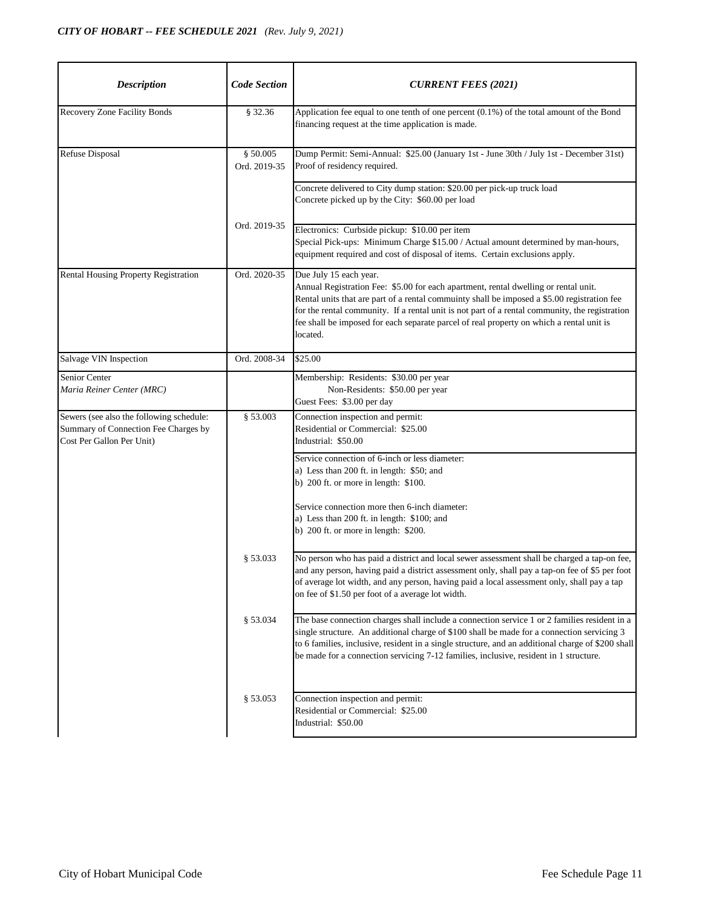| <b>Description</b>                                                                                            | <b>Code Section</b>      | <b>CURRENT FEES (2021)</b>                                                                                                                                                                                                                                                                                                                                                                                             |
|---------------------------------------------------------------------------------------------------------------|--------------------------|------------------------------------------------------------------------------------------------------------------------------------------------------------------------------------------------------------------------------------------------------------------------------------------------------------------------------------------------------------------------------------------------------------------------|
| Recovery Zone Facility Bonds                                                                                  | § 32.36                  | Application fee equal to one tenth of one percent (0.1%) of the total amount of the Bond<br>financing request at the time application is made.                                                                                                                                                                                                                                                                         |
| <b>Refuse Disposal</b>                                                                                        | § 50.005<br>Ord. 2019-35 | Dump Permit: Semi-Annual: \$25.00 (January 1st - June 30th / July 1st - December 31st)<br>Proof of residency required.                                                                                                                                                                                                                                                                                                 |
|                                                                                                               |                          | Concrete delivered to City dump station: \$20.00 per pick-up truck load<br>Concrete picked up by the City: \$60.00 per load                                                                                                                                                                                                                                                                                            |
|                                                                                                               | Ord. 2019-35             | Electronics: Curbside pickup: \$10.00 per item<br>Special Pick-ups: Minimum Charge \$15.00 / Actual amount determined by man-hours,<br>equipment required and cost of disposal of items. Certain exclusions apply.                                                                                                                                                                                                     |
| Rental Housing Property Registration                                                                          | Ord. 2020-35             | Due July 15 each year.<br>Annual Registration Fee: \$5.00 for each apartment, rental dwelling or rental unit.<br>Rental units that are part of a rental commuinty shall be imposed a \$5.00 registration fee<br>for the rental community. If a rental unit is not part of a rental community, the registration<br>fee shall be imposed for each separate parcel of real property on which a rental unit is<br>located. |
| Salvage VIN Inspection                                                                                        | Ord. 2008-34             | \$25.00                                                                                                                                                                                                                                                                                                                                                                                                                |
| <b>Senior Center</b><br>Maria Reiner Center (MRC)                                                             |                          | Membership: Residents: \$30.00 per year<br>Non-Residents: \$50.00 per year<br>Guest Fees: \$3.00 per day                                                                                                                                                                                                                                                                                                               |
| Sewers (see also the following schedule:<br>Summary of Connection Fee Charges by<br>Cost Per Gallon Per Unit) | § 53.003                 | Connection inspection and permit:<br>Residential or Commercial: \$25.00<br>Industrial: \$50.00                                                                                                                                                                                                                                                                                                                         |
|                                                                                                               |                          | Service connection of 6-inch or less diameter:<br>a) Less than 200 ft. in length: \$50; and<br>b) $200$ ft. or more in length: \$100.                                                                                                                                                                                                                                                                                  |
|                                                                                                               |                          | Service connection more then 6-inch diameter:<br>a) Less than 200 ft. in length: \$100; and<br>b) $200$ ft. or more in length: \$200.                                                                                                                                                                                                                                                                                  |
|                                                                                                               | \$53.033                 | No person who has paid a district and local sewer assessment shall be charged a tap-on fee,<br>and any person, having paid a district assessment only, shall pay a tap-on fee of \$5 per foot<br>of average lot width, and any person, having paid a local assessment only, shall pay a tap<br>on fee of \$1.50 per foot of a average lot width.                                                                       |
|                                                                                                               | \$53.034                 | The base connection charges shall include a connection service 1 or 2 families resident in a<br>single structure. An additional charge of \$100 shall be made for a connection servicing 3<br>to 6 families, inclusive, resident in a single structure, and an additional charge of \$200 shall<br>be made for a connection servicing 7-12 families, inclusive, resident in 1 structure.                               |
|                                                                                                               | § 53.053                 | Connection inspection and permit:<br>Residential or Commercial: \$25.00<br>Industrial: \$50.00                                                                                                                                                                                                                                                                                                                         |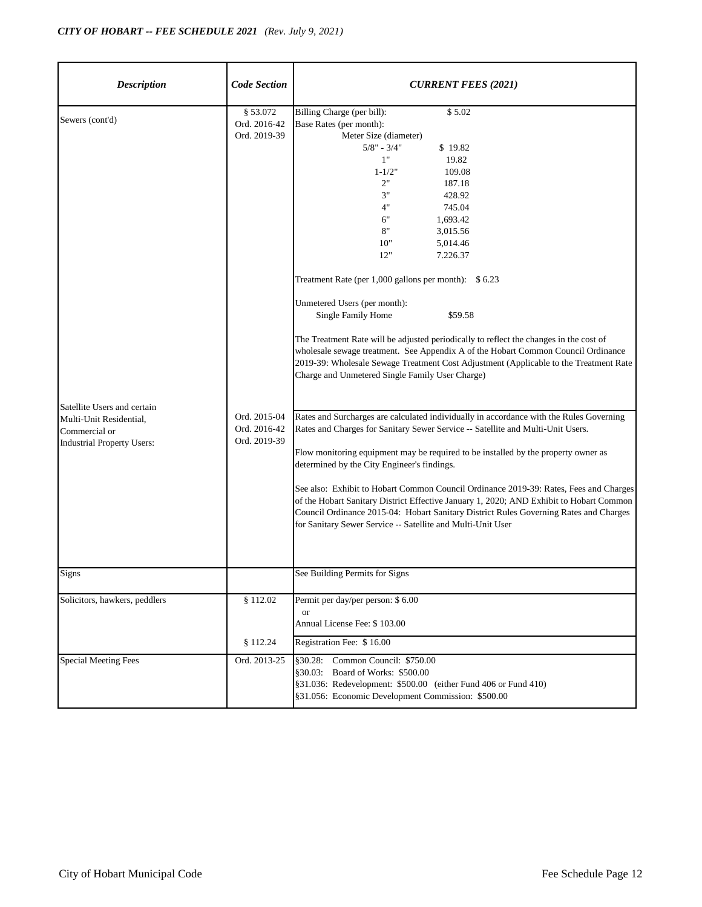| <b>Description</b>                                                                                           | <b>Code Section</b>                          | <b>CURRENT FEES (2021)</b>                                                                                                                                                                                                                                                                                                                                                                                                                                                                                                                                                                                                                                                                                                                 |
|--------------------------------------------------------------------------------------------------------------|----------------------------------------------|--------------------------------------------------------------------------------------------------------------------------------------------------------------------------------------------------------------------------------------------------------------------------------------------------------------------------------------------------------------------------------------------------------------------------------------------------------------------------------------------------------------------------------------------------------------------------------------------------------------------------------------------------------------------------------------------------------------------------------------------|
| Sewers (cont'd)                                                                                              | § 53.072<br>Ord. 2016-42<br>Ord. 2019-39     | Billing Charge (per bill):<br>\$5.02<br>Base Rates (per month):<br>Meter Size (diameter)<br>$5/8" - 3/4"$<br>\$19.82<br>1"<br>19.82<br>109.08<br>$1 - 1/2"$<br>2"<br>187.18<br>3"<br>428.92<br>4"<br>745.04<br>6"<br>1,693.42<br>8"<br>3,015.56<br>10"<br>5,014.46<br>12"<br>7.226.37<br>Treatment Rate (per 1,000 gallons per month): \$ 6.23<br>Unmetered Users (per month):<br>Single Family Home<br>\$59.58<br>The Treatment Rate will be adjusted periodically to reflect the changes in the cost of<br>wholesale sewage treatment. See Appendix A of the Hobart Common Council Ordinance<br>2019-39: Wholesale Sewage Treatment Cost Adjustment (Applicable to the Treatment Rate<br>Charge and Unmetered Single Family User Charge) |
| Satellite Users and certain<br>Multi-Unit Residential,<br>Commercial or<br><b>Industrial Property Users:</b> | Ord. 2015-04<br>Ord. 2016-42<br>Ord. 2019-39 | Rates and Surcharges are calculated individually in accordance with the Rules Governing<br>Rates and Charges for Sanitary Sewer Service -- Satellite and Multi-Unit Users.<br>Flow monitoring equipment may be required to be installed by the property owner as<br>determined by the City Engineer's findings.<br>See also: Exhibit to Hobart Common Council Ordinance 2019-39: Rates, Fees and Charges<br>of the Hobart Sanitary District Effective January 1, 2020; AND Exhibit to Hobart Common<br>Council Ordinance 2015-04: Hobart Sanitary District Rules Governing Rates and Charges<br>for Sanitary Sewer Service -- Satellite and Multi-Unit User                                                                                |
| Signs                                                                                                        |                                              | See Building Permits for Signs                                                                                                                                                                                                                                                                                                                                                                                                                                                                                                                                                                                                                                                                                                             |
| Solicitors, hawkers, peddlers                                                                                | \$112.02<br>\$112.24                         | Permit per day/per person: \$6.00<br>or<br>Annual License Fee: \$103.00<br>Registration Fee: \$16.00                                                                                                                                                                                                                                                                                                                                                                                                                                                                                                                                                                                                                                       |
| <b>Special Meeting Fees</b>                                                                                  | Ord. 2013-25                                 | §30.28: Common Council: \$750.00<br>§30.03: Board of Works: \$500.00<br>§31.036: Redevelopment: \$500.00 (either Fund 406 or Fund 410)<br>§31.056: Economic Development Commission: \$500.00                                                                                                                                                                                                                                                                                                                                                                                                                                                                                                                                               |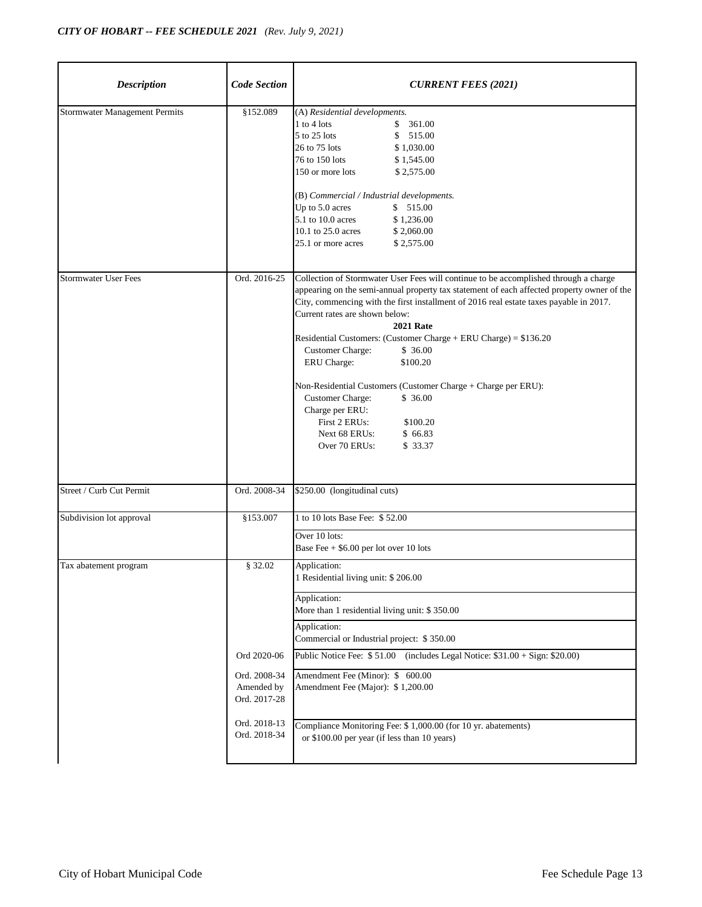| <b>Description</b>                   | <b>Code Section</b>                                                                                  | <b>CURRENT FEES (2021)</b>                                                                                                                                                                                                                                                                                                                                                                                                                                                                                                                                                                                                                                                               |
|--------------------------------------|------------------------------------------------------------------------------------------------------|------------------------------------------------------------------------------------------------------------------------------------------------------------------------------------------------------------------------------------------------------------------------------------------------------------------------------------------------------------------------------------------------------------------------------------------------------------------------------------------------------------------------------------------------------------------------------------------------------------------------------------------------------------------------------------------|
| <b>Stormwater Management Permits</b> | \$152.089                                                                                            | (A) Residential developments.<br>$1$ to $4$ lots<br>361.00<br>\$<br>5 to 25 lots<br>\$<br>515.00<br>26 to 75 lots<br>\$1,030.00<br>76 to 150 lots<br>\$1,545.00<br>150 or more lots<br>\$2,575.00<br>(B) Commercial / Industrial developments.<br>Up to 5.0 acres<br>\$515.00<br>5.1 to 10.0 acres<br>\$1,236.00<br>10.1 to 25.0 acres<br>\$2,060.00<br>25.1 or more acres<br>\$2,575.00                                                                                                                                                                                                                                                                                                 |
| <b>Stormwater User Fees</b>          | Ord. 2016-25                                                                                         | Collection of Stormwater User Fees will continue to be accomplished through a charge<br>appearing on the semi-annual property tax statement of each affected property owner of the<br>City, commencing with the first installment of 2016 real estate taxes payable in 2017.<br>Current rates are shown below:<br><b>2021 Rate</b><br>Residential Customers: (Customer Charge + ERU Charge) = $$136.20$<br><b>Customer Charge:</b><br>\$36.00<br>ERU Charge:<br>\$100.20<br>Non-Residential Customers (Customer Charge + Charge per ERU):<br><b>Customer Charge:</b><br>\$36.00<br>Charge per ERU:<br>First 2 ERUs:<br>\$100.20<br>Next 68 ERUs:<br>\$66.83<br>Over 70 ERUs:<br>\$ 33.37 |
| Street / Curb Cut Permit             | Ord. 2008-34                                                                                         | \$250.00 (longitudinal cuts)                                                                                                                                                                                                                                                                                                                                                                                                                                                                                                                                                                                                                                                             |
| Subdivision lot approval             | \$153.007                                                                                            | 1 to 10 lots Base Fee: \$52.00<br>Over 10 lots:<br>Base Fee + \$6.00 per lot over 10 lots                                                                                                                                                                                                                                                                                                                                                                                                                                                                                                                                                                                                |
| Tax abatement program                | \$32.02<br>Ord 2020-06<br>Ord. 2008-34<br>Amended by<br>Ord. 2017-28<br>Ord. 2018-13<br>Ord. 2018-34 | Application:<br>1 Residential living unit: \$206.00<br>Application:<br>More than 1 residential living unit: \$350.00<br>Application:<br>Commercial or Industrial project: \$350.00<br>Public Notice Fee: \$51.00 (includes Legal Notice: \$31.00 + Sign: \$20.00)<br>Amendment Fee (Minor): \$ 600.00<br>Amendment Fee (Major): \$1,200.00<br>Compliance Monitoring Fee: \$ 1,000.00 (for 10 yr. abatements)<br>or \$100.00 per year (if less than 10 years)                                                                                                                                                                                                                             |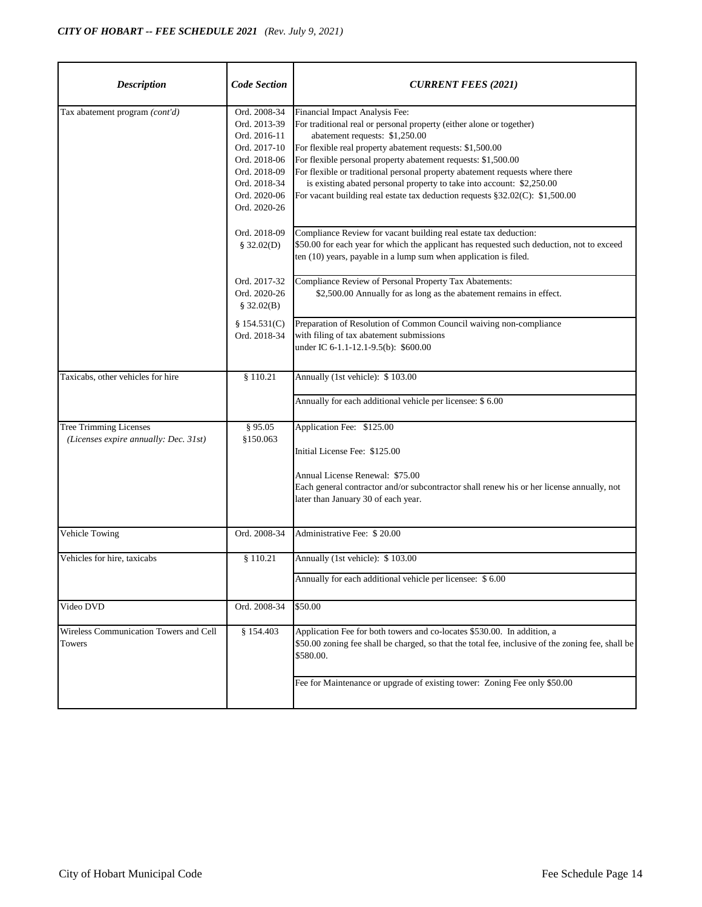| <b>Description</b>                                                     | <b>Code Section</b>                                                                                                                          | <b>CURRENT FEES (2021)</b>                                                                                                                                                                                                                                                                                                                                                                                                                                                                                      |
|------------------------------------------------------------------------|----------------------------------------------------------------------------------------------------------------------------------------------|-----------------------------------------------------------------------------------------------------------------------------------------------------------------------------------------------------------------------------------------------------------------------------------------------------------------------------------------------------------------------------------------------------------------------------------------------------------------------------------------------------------------|
| Tax abatement program (cont'd)                                         | Ord. 2008-34<br>Ord. 2013-39<br>Ord. 2016-11<br>Ord. 2017-10<br>Ord. 2018-06<br>Ord. 2018-09<br>Ord. 2018-34<br>Ord. 2020-06<br>Ord. 2020-26 | Financial Impact Analysis Fee:<br>For traditional real or personal property (either alone or together)<br>abatement requests: \$1,250.00<br>For flexible real property abatement requests: \$1,500.00<br>For flexible personal property abatement requests: \$1,500.00<br>For flexible or traditional personal property abatement requests where there<br>is existing abated personal property to take into account: \$2,250.00<br>For vacant building real estate tax deduction requests §32.02(C): \$1,500.00 |
|                                                                        | Ord. 2018-09<br>\$32.02(D)                                                                                                                   | Compliance Review for vacant building real estate tax deduction:<br>\$50.00 for each year for which the applicant has requested such deduction, not to exceed<br>ten (10) years, payable in a lump sum when application is filed.                                                                                                                                                                                                                                                                               |
|                                                                        | Ord. 2017-32<br>Ord. 2020-26<br>\$32.02(B)                                                                                                   | Compliance Review of Personal Property Tax Abatements:<br>\$2,500.00 Annually for as long as the abatement remains in effect.                                                                                                                                                                                                                                                                                                                                                                                   |
|                                                                        | \$154.531(C)<br>Ord. 2018-34                                                                                                                 | Preparation of Resolution of Common Council waiving non-compliance<br>with filing of tax abatement submissions<br>under IC 6-1.1-12.1-9.5(b): \$600.00                                                                                                                                                                                                                                                                                                                                                          |
| Taxicabs, other vehicles for hire                                      | \$110.21                                                                                                                                     | Annually (1st vehicle): \$103.00                                                                                                                                                                                                                                                                                                                                                                                                                                                                                |
|                                                                        |                                                                                                                                              | Annually for each additional vehicle per licensee: \$ 6.00                                                                                                                                                                                                                                                                                                                                                                                                                                                      |
| <b>Tree Trimming Licenses</b><br>(Licenses expire annually: Dec. 31st) | § 95.05<br>§150.063                                                                                                                          | Application Fee: \$125.00<br>Initial License Fee: \$125.00<br>Annual License Renewal: \$75.00<br>Each general contractor and/or subcontractor shall renew his or her license annually, not<br>later than January 30 of each year.                                                                                                                                                                                                                                                                               |
| Vehicle Towing                                                         | Ord. 2008-34                                                                                                                                 | Administrative Fee: \$20.00                                                                                                                                                                                                                                                                                                                                                                                                                                                                                     |
| Vehicles for hire, taxicabs                                            | \$110.21                                                                                                                                     | Annually (1st vehicle): \$103.00<br>Annually for each additional vehicle per licensee: \$6.00                                                                                                                                                                                                                                                                                                                                                                                                                   |
| Video DVD                                                              | Ord. 2008-34                                                                                                                                 | \$50.00                                                                                                                                                                                                                                                                                                                                                                                                                                                                                                         |
| Wireless Communication Towers and Cell<br>Towers                       | § 154.403                                                                                                                                    | Application Fee for both towers and co-locates \$530.00. In addition, a<br>\$50.00 zoning fee shall be charged, so that the total fee, inclusive of the zoning fee, shall be<br>\$580.00.                                                                                                                                                                                                                                                                                                                       |
|                                                                        |                                                                                                                                              | Fee for Maintenance or upgrade of existing tower: Zoning Fee only \$50.00                                                                                                                                                                                                                                                                                                                                                                                                                                       |